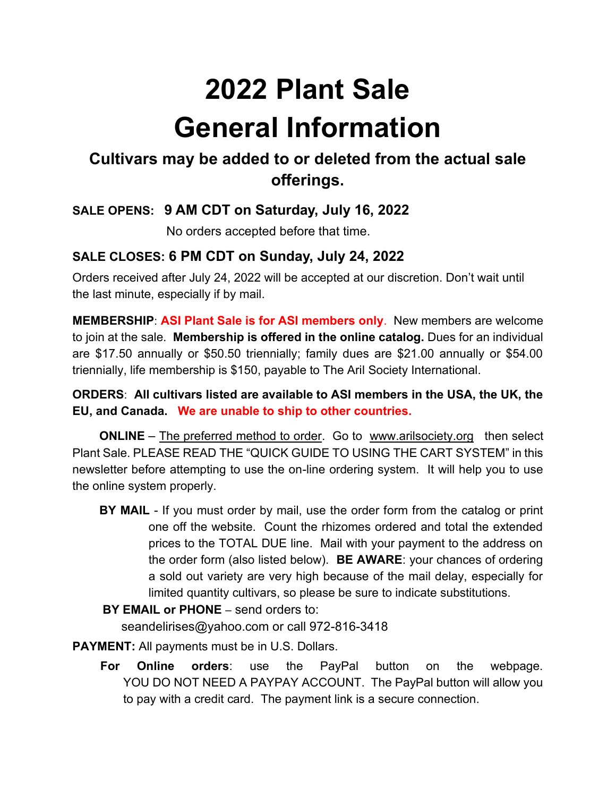# **2022 Plant Sale General Information**

# **Cultivars may be added to or deleted from the actual sale offerings.**

## **SALE OPENS: 9 AM CDT on Saturday, July 16, 2022**

No orders accepted before that time.

## **SALE CLOSES: 6 PM CDT on Sunday, July 24, 2022**

Orders received after July 24, 2022 will be accepted at our discretion. Don't wait until the last minute, especially if by mail.

**MEMBERSHIP**: **ASI Plant Sale is for ASI members only**. New members are welcome to join at the sale. **Membership is offered in the online catalog.** Dues for an individual are \$17.50 annually or \$50.50 triennially; family dues are \$21.00 annually or \$54.00 triennially, life membership is \$150, payable to The Aril Society International.

#### **ORDERS**: **All cultivars listed are available to ASI members in the USA, the UK, the EU, and Canada. We are unable to ship to other countries.**

**ONLINE** – The preferred method to order. Go to www.arilsociety.org then select Plant Sale. PLEASE READ THE "QUICK GUIDE TO USING THE CART SYSTEM" in this newsletter before attempting to use the on-line ordering system. It will help you to use the online system properly.

**BY MAIL** - If you must order by mail, use the order form from the catalog or print one off the website. Count the rhizomes ordered and total the extended prices to the TOTAL DUE line. Mail with your payment to the address on the order form (also listed below). **BE AWARE**: your chances of ordering a sold out variety are very high because of the mail delay, especially for limited quantity cultivars, so please be sure to indicate substitutions.

#### **BY EMAIL or PHONE** – send orders to:

seandelirises@yahoo.com or call 972-816-3418

**PAYMENT:** All payments must be in U.S. Dollars.

 **For Online orders**: use the PayPal button on the webpage. YOU DO NOT NEED A PAYPAY ACCOUNT. The PayPal button will allow you to pay with a credit card. The payment link is a secure connection.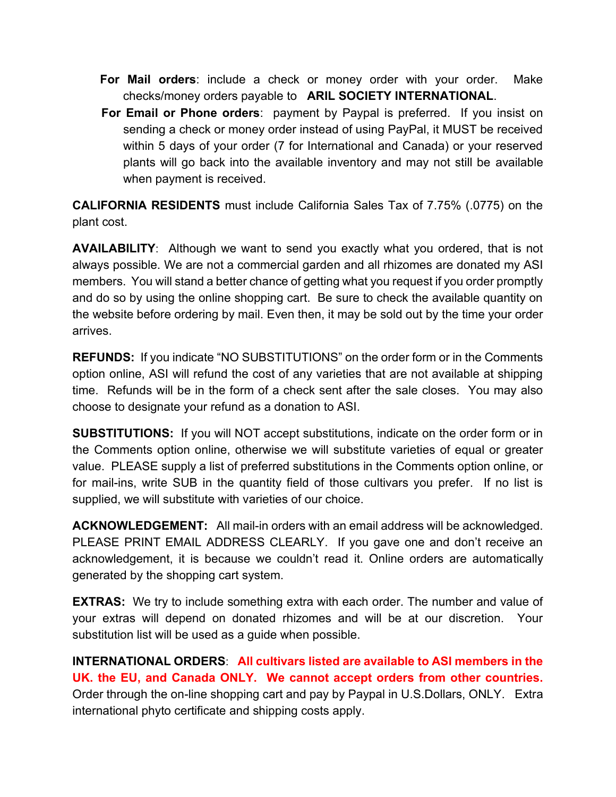- **For Mail orders**: include a check or money order with your order. Make checks/money orders payable to **ARIL SOCIETY INTERNATIONAL**.
- **For Email or Phone orders**: payment by Paypal is preferred. If you insist on sending a check or money order instead of using PayPal, it MUST be received within 5 days of your order (7 for International and Canada) or your reserved plants will go back into the available inventory and may not still be available when payment is received.

**CALIFORNIA RESIDENTS** must include California Sales Tax of 7.75% (.0775) on the plant cost.

**AVAILABILITY**: Although we want to send you exactly what you ordered, that is not always possible. We are not a commercial garden and all rhizomes are donated my ASI members. You will stand a better chance of getting what you request if you order promptly and do so by using the online shopping cart. Be sure to check the available quantity on the website before ordering by mail. Even then, it may be sold out by the time your order arrives.

**REFUNDS:** If you indicate "NO SUBSTITUTIONS" on the order form or in the Comments option online, ASI will refund the cost of any varieties that are not available at shipping time. Refunds will be in the form of a check sent after the sale closes. You may also choose to designate your refund as a donation to ASI.

**SUBSTITUTIONS:** If you will NOT accept substitutions, indicate on the order form or in the Comments option online, otherwise we will substitute varieties of equal or greater value. PLEASE supply a list of preferred substitutions in the Comments option online, or for mail-ins, write SUB in the quantity field of those cultivars you prefer. If no list is supplied, we will substitute with varieties of our choice.

**ACKNOWLEDGEMENT:** All mail-in orders with an email address will be acknowledged. PLEASE PRINT EMAIL ADDRESS CLEARLY. If you gave one and don't receive an acknowledgement, it is because we couldn't read it. Online orders are automatically generated by the shopping cart system.

**EXTRAS:** We try to include something extra with each order. The number and value of your extras will depend on donated rhizomes and will be at our discretion. Your substitution list will be used as a guide when possible.

**INTERNATIONAL ORDERS**: **All cultivars listed are available to ASI members in the UK. the EU, and Canada ONLY. We cannot accept orders from other countries.** Order through the on-line shopping cart and pay by Paypal in U.S.Dollars, ONLY. Extra international phyto certificate and shipping costs apply.